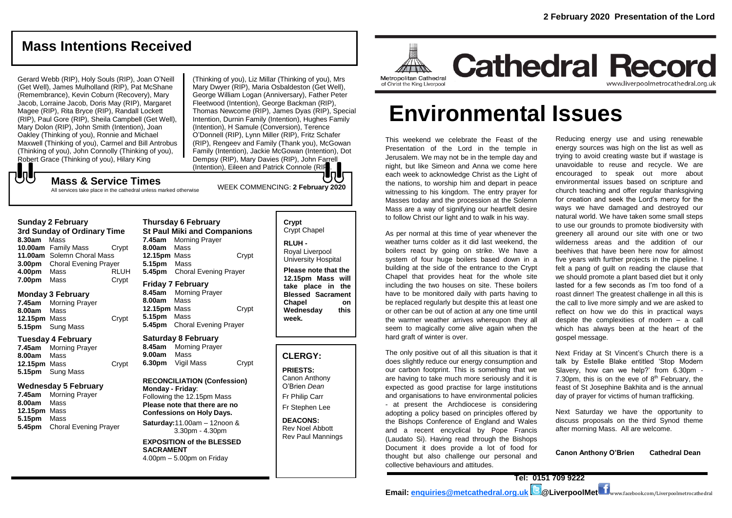# **Mass Intentions Received**

Gerard Webb (RIP), Holy Souls (RIP), Joan O'Neill (Get Well), James Mulholland (RIP), Pat McShane (Remembrance), Kevin Coburn (Recovery), Mary Jacob, Lorraine Jacob, Doris May (RIP), Margaret Magee (RIP), Rita Bryce (RIP), Randall Lockett (RIP), Paul Gore (RIP), Sheila Campbell (Get Well), Mary Dolon (RIP), John Smith (Intention), Joan Oakley (Thinking of you), Ronnie and Michael Maxwell (Thinking of you), Carmel and Bill Antrobus (Thinking of you), John Connolly (Thinking of you), Robert Grace (Thinking of you), Hilary King<br>
Mass & Service Time

(Thinking of you), Liz Millar (Thinking of you), Mrs Mary Dwyer (RIP), Maria Osbaldeston (Get Well), George William Logan (Anniversary), Father Peter Fleetwood (Intention), George Backman (RIP), Thomas Newcome (RIP), James Dyas (RIP), Special Intention, Durnin Family (Intention), Hughes Family (Intention), H Samule (Conversion), Terence O'Donnell (RIP), Lynn Miller (RIP), Fritz Schafer (RIP), Rengeev and Family (Thank you), McGowan Family (Intention), Jackie McGowan (Intention), Dot Dempsy (RIP), Mary Davies (RIP), John Farrell (Intention), Eileen and Patrick Connole (RIF

All services take place in the cathedral unless marked otherwise

#### **Sunday 2 February**

**3rd Sunday of Ordinary Time 8.30am** Mass **10.00am** Family Mass Crypt **11.00am** Solemn Choral Mass **3.00pm** Choral Evening Prayer **4.00pm** Mass RLUH **7.00pm** Mass Crypt

#### **Monday 3 February**

**7.45am** Morning Prayer **8.00am** Mass **12.15pm** Mass Crypt **5.15pm** Sung Mass

#### **Tuesday 4 February**

**7.45am** Morning Prayer **8.00am** Mass **12.15pm** Mass Crypt **5.15pm** Sung Mass

#### **Wednesday 5 February**

**7.45am** Morning Prayer **8.00am** Mass **12.15pm** Mass **5.15pm** Mass **5.45pm** Choral Evening Prayer

**Thursday 6 February St Paul Miki and Companions 7.45am** Morning Prayer **8.00am** Mass **12.15pm** Mass Crypt **5.15pm** Mass **5.45pm** Choral Evening Prayer **Friday 7 February 8.45am** Morning Prayer **8.00am** Mass **12.15pm** Mass Crypt **5.15pm** Mass **5.45pm** Choral Evening Prayer

#### **Saturday 8 February**

**8.45am** Morning Prayer **9.00am** Mass **6.30pm** Vigil Mass Crypt

#### **RECONCILIATION (Confession) Monday - Friday**:

Following the 12.15pm Mass **Please note that there are no Confessions on Holy Days.**

**Saturday:**11.00am – 12noon & 3.30pm - 4.30pm

**EXPOSITION of the BLESSED SACRAMENT** 4.00pm – 5.00pm on Friday

# Crypt Chapel

**RLUH -** Royal Liverpool University Hospital

**Please note that the 12.15pm Mass will take place in the Blessed Sacrament Chapel on Wednesday this week.**

#### **CLERGY:**

**PRIESTS:** Canon Anthony O'Brien *Dean* Fr Philip Carr

Fr Stephen Lee

**DEACONS:** Rev Noel Abbott Rev Paul Mannings

### **Cathedral Record** Metropolitan Cathedral www.liverpoolmetrocathedral.org.uk of Christ the King Liverpool

# **Environmental Issues**

This weekend we celebrate the Feast of the Presentation of the Lord in the temple in Jerusalem. We may not be in the temple day and night, but like Simeon and Anna we come here each week to acknowledge Christ as the Light of the nations, to worship him and depart in peace witnessing to his kingdom. The entry prayer for Masses today and the procession at the Solemn Mass are a way of signifying our heartfelt desire to follow Christ our light and to walk in his way.

As per normal at this time of year whenever the weather turns colder as it did last weekend, the boilers react by going on strike. We have a system of four huge boilers based down in a building at the side of the entrance to the Crypt Chapel that provides heat for the whole site including the two houses on site. These boilers have to be monitored daily with parts having to be replaced regularly but despite this at least one or other can be out of action at any one time until the warmer weather arrives whereupon they all seem to magically come alive again when the hard graft of winter is over.

The only positive out of all this situation is that it does slightly reduce our energy consumption and our carbon footprint. This is something that we are having to take much more seriously and it is expected as good practise for large institutions and organisations to have environmental policies - at present the Archdiocese is considering adopting a policy based on principles offered by the Bishops Conference of England and Wales and a recent encyclical by Pope Francis (Laudato Si). Having read through the Bishops Document it does provide a lot of food for thought but also challenge our personal and collective behaviours and attitudes.

Reducing energy use and using renewable energy sources was high on the list as well as trying to avoid creating waste but if wastage is unavoidable to reuse and recycle. We are encouraged to speak out more about environmental issues based on scripture and church teaching and offer regular thanksgiving for creation and seek the Lord's mercy for the ways we have damaged and destroyed our natural world. We have taken some small steps to use our grounds to promote biodiversity with greenery all around our site with one or two wilderness areas and the addition of our beehives that have been here now for almost five years with further projects in the pipeline. I felt a pang of guilt on reading the clause that we should promote a plant based diet but it only lasted for a few seconds as I'm too fond of a roast dinner! The greatest challenge in all this is the call to live more simply and we are asked to reflect on how we do this in practical ways despite the complexities of modern – a call which has always been at the heart of the gospel message.

Next Friday at St Vincent's Church there is a talk by Estelle Blake entitled 'Stop Modern Slavery, how can we help?' from 6.30pm - 7.30pm, this is on the eve of  $8<sup>th</sup>$  February, the feast of St Josephine Bakhita and is the annual day of prayer for victims of human trafficking.

Next Saturday we have the opportunity to discuss proposals on the third Synod theme after morning Mass. All are welcome.

**Canon Anthony O'Brien Cathedral Dean**